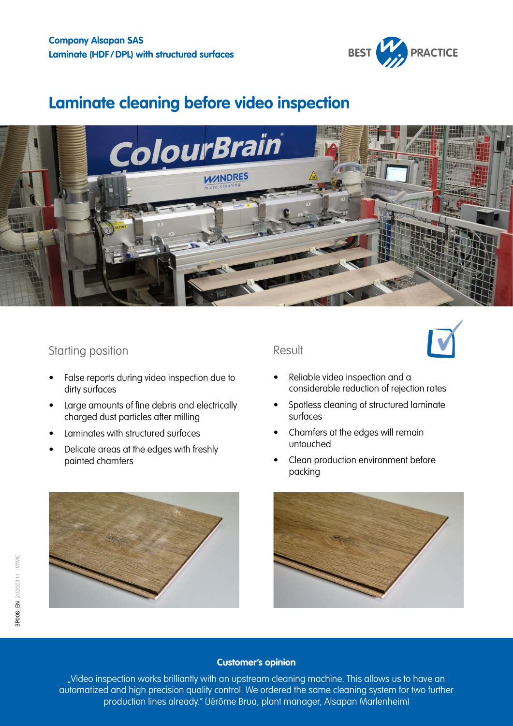

# **Laminate cleaning before video inspection**



## Starting position

- False reports during video inspection due to dirty surfaces
- Large amounts of fine debris and electrically charged dust particles after milling
- Laminates with structured surfaces
- Delicate areas at the edges with freshly painted chamfers



## Result



- Reliable video inspection and a considerable reduction of rejection rates
- Spotless cleaning of structured laminate surfaces
- Chamfers at the edges will remain untouched
- Clean production environment before packing



#### **Customer's opinion**

"Video inspection works brilliantly with an upstream cleaning machine. This allows us to have an automatized and high precision quality control. We ordered the same cleaning system for two further production lines already." (Jérôme Brua, plant manager, Alsapan Marlenheim)